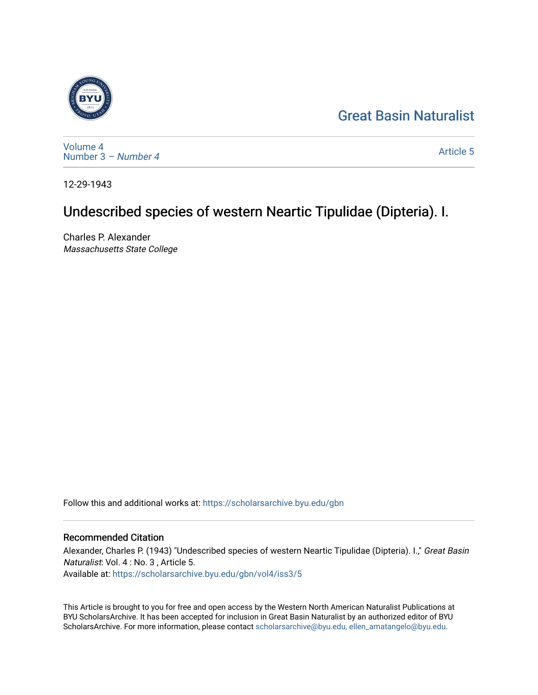## [Great Basin Naturalist](https://scholarsarchive.byu.edu/gbn)



[Volume 4](https://scholarsarchive.byu.edu/gbn/vol4) [Number 3](https://scholarsarchive.byu.edu/gbn/vol4/iss3) – Number 4

[Article 5](https://scholarsarchive.byu.edu/gbn/vol4/iss3/5) 

12-29-1943

# Undescribed species of western Neartic Tipulidae (Dipteria). I.

Charles P. Alexander Massachusetts State College

Follow this and additional works at: [https://scholarsarchive.byu.edu/gbn](https://scholarsarchive.byu.edu/gbn?utm_source=scholarsarchive.byu.edu%2Fgbn%2Fvol4%2Fiss3%2F5&utm_medium=PDF&utm_campaign=PDFCoverPages) 

### Recommended Citation

Alexander, Charles P. (1943) "Undescribed species of western Neartic Tipulidae (Dipteria). I.," Great Basin Naturalist: Vol. 4 : No. 3 , Article 5. Available at: [https://scholarsarchive.byu.edu/gbn/vol4/iss3/5](https://scholarsarchive.byu.edu/gbn/vol4/iss3/5?utm_source=scholarsarchive.byu.edu%2Fgbn%2Fvol4%2Fiss3%2F5&utm_medium=PDF&utm_campaign=PDFCoverPages) 

This Article is brought to you for free and open access by the Western North American Naturalist Publications at BYU ScholarsArchive. It has been accepted for inclusion in Great Basin Naturalist by an authorized editor of BYU ScholarsArchive. For more information, please contact [scholarsarchive@byu.edu, ellen\\_amatangelo@byu.edu.](mailto:scholarsarchive@byu.edu,%20ellen_amatangelo@byu.edu)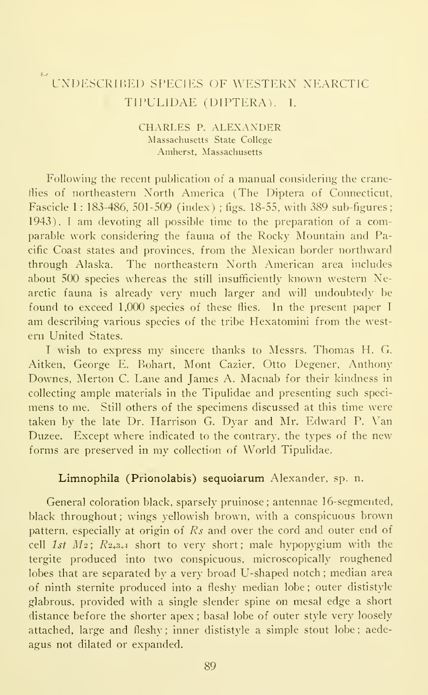### UNDESCRIBED SPECIES OF WESTERN NEARCTIC TIPULIDAE (DIPTERA). I.

#### CHARLES P. ALEXANDER Massachusetts State College Amherst, Massachusetts

Following the recent publication of a manual considering the craneflies of northeastern North America (The Diptera of Connecticut, Fascicle 1: 183-486, 501-509 (index); figs. 18-55, with 389 sub-figures; 1943), <sup>I</sup> am devoting all possible time to the preparation of <sup>a</sup> comparable work considering the fauna of the Rocky Mountain and Pacific Coast states and provinces, from the Mexican border northward through Alaska. The northeastern North American area includes about 500 species whereas the still insufficiently known western Nearctic fauna is already very much larger and will undoubtedy be found to exceed 1,000 species of these flies. In the present paper <sup>I</sup> am describing various species of the tribe Hexatomini from the west ern United States.

<sup>I</sup> wish to express my sincere thanks to Messrs. Thomas H. G. Aitken, George E. Bohart, Mont Cazier, Otto Degener, Anthony Downes, Merton C. Lane and James A. Macnab for their kindness in collecting ample materials in the Tipulidae and presenting such speci mens to me. Still others of the specimens discussed at this time were taken by the late Dr. Harrison G. Dyar and Mr. Edward P. Van Duzee. Except where indicated to the contrary, the types of the new forms are preserved in my collection of World Tipulidae.

#### Limnophila (Prionolabis) sequoiarum Alexander, sp. n.

General coloration black, sparsely pruinose ; antennae 16-segmented, black throughout; wings yellowish brown, with a conspicuous brown pattern, especially at origin of Rs and over the cord and outer end of cell 1st  $M_2$ :  $R_{2+3+4}$  short to very short; male hypopygium with the tergite produced into two conspicuous, microscopically roughened lobes that are separated by a very broad U-shaped notch ; median area of ninth sternite produced into a fleshy median lobe ; outer dististyle glabrous, provided with a single slender spine on mesal edge a short distance before the shorter apex ; basal lobe of outer style very loosely attached, large and fleshy; inner dististyle a simple stout lobe; aedeagus not dilated or expanded.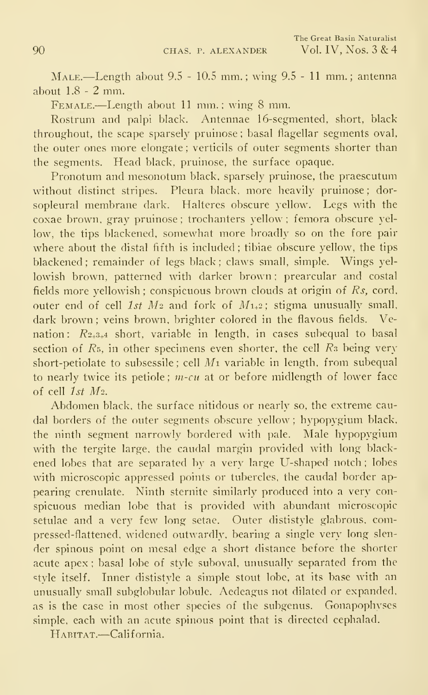Male.—Length about 9.5 - 10.5 mm.; wing 9.5 - <sup>11</sup> mm.; antenna about 1.8-2 mm.

Female.—Length about <sup>11</sup> mm.; wing <sup>8</sup> mm.

Rostrum and palpi black. Antennae 16-segmented, short, black throughout, the scape sparsely pruinose ; basal flagellar segments oval, the outer ones more elongate ; verticils of outer segments shorter than the segments. Head black, pruinose, the surface opaque.

Pronotum and mesonotum black, sparsely pruinose, the praescutum without distinct stripes. Pleura black, more heavily pruinose; dorsopleural membrane dark. Halteres obscure yellow. Legs with the coxae brown, gray pruinose ; trochanters yellow ; femora obscure yellow, the tips blackened, somewhat more broadly so on the fore pair where about the distal fifth is included; tibiae obscure yellow, the tips blackened ; remainder of legs black ; claws small, simple. Wings yellowish brown, patterned with darker brown ; prearcular and costal fields more yellowish; conspicuous brown clouds at origin of  $Rs$ , cord, outer end of cell 1st  $M_2$  and fork of  $M_{1+2}$ ; stigma unusually small, dark brown: veins brown, brighter colored in the flavous fields. Venation:  $R_{2+3+4}$  short, variable in length, in cases subequal to basal section of  $R_5$ , in other specimens even shorter, the cell  $R_3$  being very short-petiolate to subsessile : cell  $M_1$  variable in length, from subequal to nearly twice its petiole;  $m$ -cu at or before midlength of lower face of cell 1st M2.

Abdomen black, the surface nitidous or nearly so, the extreme caudal borders of the outer segments obscure yellow ; hypopygium black, the ninth segment narrowly bordered with pale. Male hypopygium with the tergite large, the caudal margin provided with long blackened lobes that are separated by a very large U-shaped notch; lobes with microscopic appressed points or tubercles, the caudal border appearing crenulate. Ninth sternite similarly produced into a very con spicuous median lobe that is provided with abundant microscopic setulae and a very few long setae. Outer dististyle glabrous, compressed-flattened, widened outwardly, bearing a single very long slen der spinous point on mesal edge a short distance before the shorter acute apex ; basal lobe of style suboval, unusually separated from the style itself. Inner dististyle a simple stout lobe, at its base with an unusually small subglobular lobule. Aedeagus not dilated or expanded, as is the case in most other species of the subgenus. Gonapophyses simple, each with an acute spinous point that is directed cephalad.

HABITAT.-California.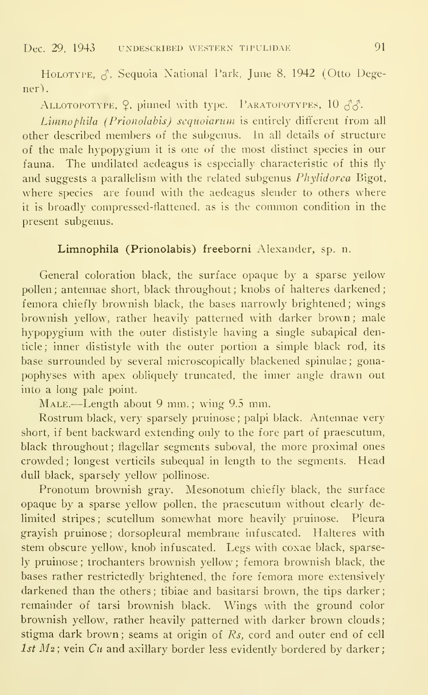HoLOTYPE,  $\beta$ . Sequoia National Park, June 8, 1942 (Otto Degener).

ALLOTOPOTYPE,  $\Omega$ , pinned with type. PARATOPOTYPES, 10  $\delta \delta$ .

Limnophila (Prionolahis) sequoiarum is entirely different from all other described members of the subgenus. In all details of structure of the male hypopygium it is one of the most distinct species in our fauna. The undilated aedeagus is especially characteristic of this fly and suggests a parallelism with the related subgenus Phylidorea Bigot, where species are found with the aedeagus slender to others where it is broadly compressed-flattened, as is the common condition in the present subgenus.

#### Limnophila (Prionolahis) freeborni Alexander, sp. n.

General coloration black, the surface opaque by a sparse yellow pollen; antennae short, black throughout; knobs of halteres darkened; femora chiefly brownish black, the bases narrowly brightened ; wings brownish yellow, rather heavily patterned with darker brown ; male hypopygium with the outer dististyle having a single subapical denticle ; inner dististyle with the outer portion a simple black rod, its base surrounded by several microscopically blackened spinulae ; gonapophyses with apex obliquely truncated, the inner angle drawn out into a long pale point.

MALE.—Length about 9 mm.; wing 9.5 mm.

Rostrum black, very sparsely pruinose ; palpi black. Antennae very short, if bent backward extending only to the fore part of praescutum, black throughout; flagellar segments suboval, the more proximal ones crowded ; longest verticils subequal in length to the segments. Head dull black, sparsely yellow pollinose.

Pronotum brownish gray. Mesonotum chiefly black, the surface opaque by a sparse yellow pollen, the praescutum without clearly de limited stripes; scutellum somewhat more heavily pruinose. Pleura grayish pruinose ; dorsopleural membrane inf uscated. Halteres with stem obscure yellow, knob infuscated. Legs with coxae black, sparsely pruinose ; trochanters brownish yellow ; femora brownish black, the bases rather restrictedly brightened, the fore femora more extensively darkened than the others; tibiae and basitarsi brown, the tips darker; remainder of tarsi brownish black. Wings with the ground color brownish yellow, rather heavily patterned with darker brown clouds ; stigma dark brown; seams at origin of Rs, cord and outer end of cell 1st  $M_2$ ; vein  $Cu$  and axillary border less evidently bordered by darker;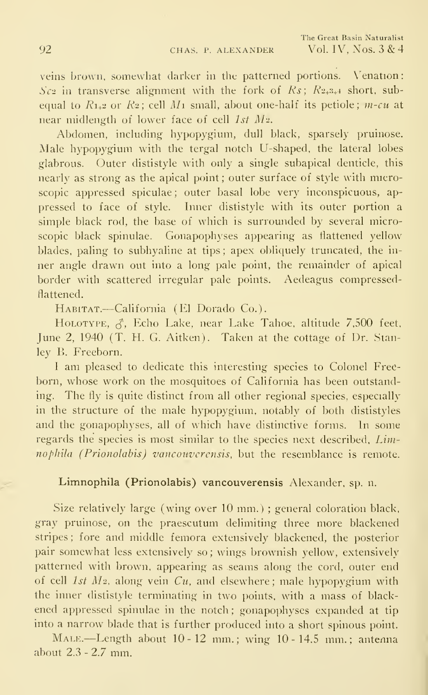veins brown, somewhat darker in the patterned portions. Venation: Sc<sub>2</sub> in transverse alignment with the fork of Rs;  $R_{2+3+4}$  short, subequal to  $R_{1+2}$  or  $R_2$ ; cell  $M_1$  small, about one-half its petiole;  $m$ -cu at near midlength of lower face of cell 1st M2.

Abdomen, including hypopygium, dull black, sparsely pruinose. Male hypopygium with the tergal notch U-shaped, the lateral lobes glabrous. Outer dististyle with only a single subapical denticle, this nearly as strong as the apical point ; outer surface of style with microscopic appressed spiculae; outer basal lobe very inconspicuous, appressed to face of style. Inner dististyle with its outer portion a simple black rod, the base of which is surrounded by several microscopic black spinulae. Gonapophyses appearing as flattened yellow blades, paling to subhyaline at tips ; apex obliquely truncated, the in ner angle drawn out into a long pale point, the remainder of apical border with scattered irregular pale points. Aedeagus compressedflattened.

Habitat.—California (El Dorado Co.).

HOLOTYPE,  $\zeta$ , Echo Lake, near Lake Tahoe, altitude 7.500 feet, June 2, 1940 (T. H. G. Aitken). Taken at the cottage of Dr. Stanley B. Freeborn.

<sup>I</sup> am pleased to dedicate this interesting species to Colonel Freeborn, whose work on the mosquitoes of California has been outstanding. The fly is quite distinct from all other regional species, especially in the structure of the male hypopygium, notably of both dististyles and the gonapophyses, all of which have distinctive forms. In some regards the species is most similar to the species next described. *Lim*nophila (Prionolabis) vanconverensis, but the resemblance is remote.

#### Limnophila (Prionolabis) vancouverensis Alexander, sp. n.

Size relatively large (wing over 10 mm.) ; general coloration black, gray pruinose, on the praescutum delimiting three more blackened stripes; fore and middle femora extensively blackened, the posterior pair somewhat less extensively so ; wings brownish yellow, extensively patterned with brown, appearing as seams along the cord, outer end of cell 1st  $M_2$ , along vein  $Cu$ , and elsewhere; male hypopygium with the inner dististyle terminating in two points, with a mass of black ened appressed spinulae in the notch ; gonapophyses expanded at tip into a narrow blade that is further produced into a short spinous point.

Male.—Length about 10-12 mm.; wing 10-14.5 mm.; antenna about 2.3 - 2.7 mm.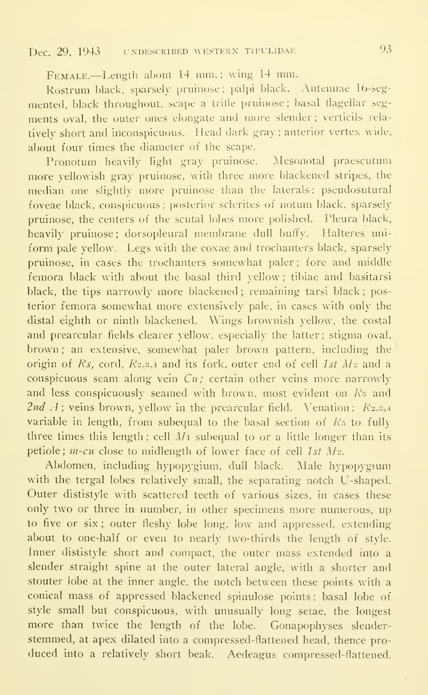FEMALE.—Length about 14 mm.; wing 14 mm.

Rostrum black, sparsely pruinose ; palpi black. Antennae 16-segmented, black throughout, scape a trifle pruinose; basal llagellar seg ments oval, the outer ones elongate and more slender; verticils rela tively short and inconspicuous. Head dark gray ; anterior vertex wide, about four times the diameter of the scape.

Pronotum heavily light gray pruinose. Mesonotal praescutum more yellowish gray pruinose, with three more blackened stripes, the median one slightly more pruinose than the laterals ; pseudosutural foveae black, conspicuous ; posterior sclerites of notum black, sparsely pruinose, the centers of the scutal lobes more polished. Pleura black, heavily pruinose ; dorsopleural membrane dull buffy. Halteres uniform pale yellow. Legs with the coxae and trochanters black, sparsely pruinose, in cases the trochanters somewhat paler ; fore and middle femora black with about the basal third yellow ; tibiae and basitarsi black, the tips narrowly more blackened; remaining tarsi black; posterior femora somewhat more extensively pale, in cases with only the distal eighth or ninth blackened. Wings brownish yellow, the costal and prearcular fields clearer yellow, especially the latter; stigma oval, brown ; an extensive, somewhat paler brown pattern, including the origin of Rs, cord,  $R_{2+3+1}$  and its fork, outer end of cell 1st  $M_2$  and a conspicuous seam along vein  $Cu$ ; certain other veins more narrowly and less conspicuously seamed with brown, most evident on R<sub>5</sub> and 2nd  $A$ ; veins brown, yellow in the prearcular field. Venation:  $R_{2+3+4}$ variable in length, from subequal to the basal section of  $R<sub>5</sub>$  to fully three times this length; cell  $M_1$  subequal to or a little longer than its petiole;  $m$ -cu close to midlength of lower face of cell 1st  $M_2$ .

Abdomen, including hypopygium, dull black. Male hypopygium with the tergal lobes relatively small, the separating notch U-shaped. Outer dististyle with scattered teeth of various sizes, in cases these only two or three in number, in other specimens more numerous, up to five or six ; outer fleshy lobe long, low and appressed, extending about to one-half or even to nearly two-thirds the length of style. Inner dististyle short and compact, the outer mass extended into a slender straight spine at the outer lateral angle, with a shorter and stouter lobe at the inner angle, the notch between these points with a conical mass of appressed blackened spinulose points ; basal lobe of style small but conspicuous, with unusually long setae, the longest more than twice the length of the lobe. Gonapophyses slender stemmed, at apex dilated into a compressed-flattened head, thence pro duced into a relatively short beak. Aedeagus compressed-flattened.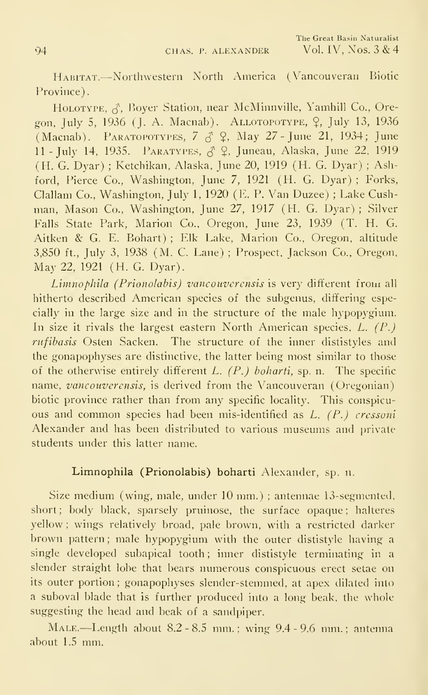Habitat.—Northwestern North America (Vancouveran Biotic Province).

HOLOTYPE,  $\zeta$ , Boyer Station, near McMinnville, Yamhill Co., Oregon, July 5, 1936 (J. A. Macnab). ALLOTOPOTYPE, 9, July 13, 1936 (Macnab). PARATOPOTYPES,  $7 \uparrow \uparrow$  9, May 27 - June 21, 1934; June 11 - July 14, 1935. PARATYPES,  $\hat{\beta}$  9, Juneau, Alaska, June 22, 1919 (H. G. Dyar) ; Ketchikan, Alaska, June 20, 1919 (H. G. Dyar) ; Ashford, Pierce Co., Washington, June 7, 1921 (H. G. Dyar) ; Forks, Clallam Co., Washington, July 1, 1920 (E. P. Van Duzee) ; Lake Cush man. Mason Co., Washington, June 27, 1917 (H. G. Dyar) ; Silver Falls State Park, Marion Co., Oregon, June 23, 1939 (T. H. G. Aitken & G. E. Bohart) ; Elk Lake, Marion Co., Oregon, altitude 3,850 ft., July 3, 1938 (M. C. Lane) ; Prospect, Jackson Co., Oregon, May 22, 1921 (H. G. Dyar).

Limnophila (Prionolabis) vancouverensis is very different from all hitherto described American species of the subgenus, differing especially in the large size and in the structure of the male hypopygium. In size it rivals the largest eastern North American species,  $L$ ,  $(P)$ , rufibasis Osten Sacken. The structure of the inner dististyles and the gonapophyses are distinctive, the latter being most similar to those of the otherwise entirely different L.  $(P<sub>z</sub>)$  boharti, sp. n. The specific name, vancouverensis, is derived from the Vancouveran (Oregonian) biotic province rather than from any specific locality. This conspicu ous and common species had been mis-identified as L. (P.) cressoni Alexander and has been distributed to various museums and private students under this latter name.

#### Limnophila (Prionolahis) boharti Alexander, sp. n.

Size medium (wing, male, under 10 mm.); antennae 13-segmented, short; body black, sparsely pruinose, the surface opaque; halteres yellow ; wings relatively broad, pale brown, with a restricted darker brown pattern ; male hypopygium with the outer dististyle having a single developed subapical tooth; inner dististyle terminating in a slender straight lobe that bears numerous conspicuous erect setae on its outer portion ; gonapophyses slender-stemmed, at apex dilated into a suboval blade that is further produced into a long beak, the whole suggesting the head and beak of a sandpiper.

MALE.—Length about 8.2 - 8.5 mm.; wing 9.4 - 9.6 mm.; antenna about 1.5 mm.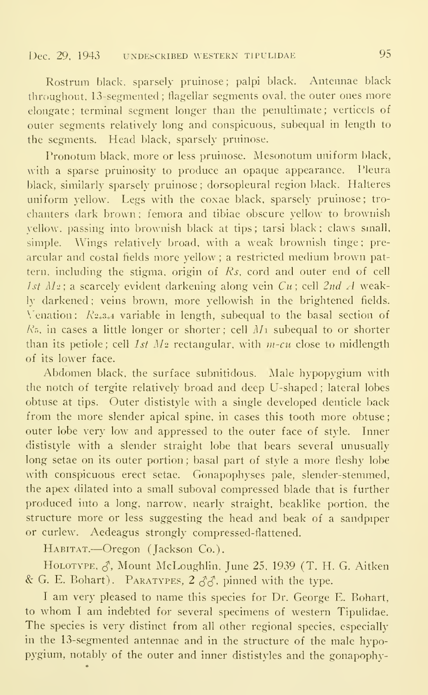Rostrum black, sparsely pruinose; palpi black. Antennae black throughout, 13-segmented ; flagellar segments oval, the outer ones more elongate ; terminal segment longer than the penultimate ; verticels of outer segments relatively long and conspicuous, subequal in length to the segments. Head black, sparsely pruinose.

Pronotum black, more or less pruinose. Mesonotum uniform black, with a sparse pruinosity to produce an opaque appearance. Pleura black, similarly sparsely pruinose ; dorsopleural region black. Halteres uniform yellow. Legs with the coxae black, sparsely pruinose; tro chanters dark brown ; femora and tibiae obscure yellow to brownish yellow, passing into brownish black at tips ; tarsi black ; claws small, simple. Wings relatively broad, with a weak brownish tinge; pre arcular and costal fields more yellow ; a restricted medium brown pattern, including the stigma, origin of Rs, cord and outer end of cell 1st  $M_2$ ; a scarcely evident darkening along vein  $Cu$ ; cell  $2ndA$  weakly darkened ; veins brown, more yellowish in the brightened fields.  $\sqrt{\frac{2}{3}}$  variable in length, subequal to the basal section of  $R<sub>5</sub>$ , in cases a little longer or shorter; cell  $M<sub>1</sub>$  subequal to or shorter than its petiole; cell  $1st$   $M_2$  rectangular, with m-cu close to midlength of its lower face.

Abdomen black, the surface subnitidous. Male hypopygium with the notch of tergite relatively broad and deep U-shaped ; lateral lobes obtuse at tips. Outer dististyle with a single developed denticle back from the more slender apical spine, in cases this tooth more obtuse outer lobe very low and appressed to the outer face of style. Inner dististyle with a slender straight lobe that bears several unusually long setae on its outer portion; basal part of style a more fleshy lobe with conspicuous erect setae. Gonapophyses pale, slender-stemmed, the apex dilated into a small suboval compressed blade that is further produced into a long, narrow, nearly straight, beaklike portion, the structure more or less suggesting the head and beak of a sandpiper or curlew. Aedeagus strongly compressed-flattened.

Habitat.—Oregon (Jackson Co.).

HOLOTYPE,  $\zeta$ , Mount McLoughlin, June 25, 1939 (T. H. G. Aitken & G. E. Bohart). PARATYPES,  $2 \angle 3\angle 2$ . pinned with the type.

<sup>I</sup> am very pleased to name this species for Dr. George E. Bohart, to whom <sup>I</sup> am indebted for several specimens of western Tipulidae. The species is very distinct from all other regional species, especially in the 13-segmented antennae and in the structure of the male hypopygium, notably of the outer and inner dististyles and the gonapophy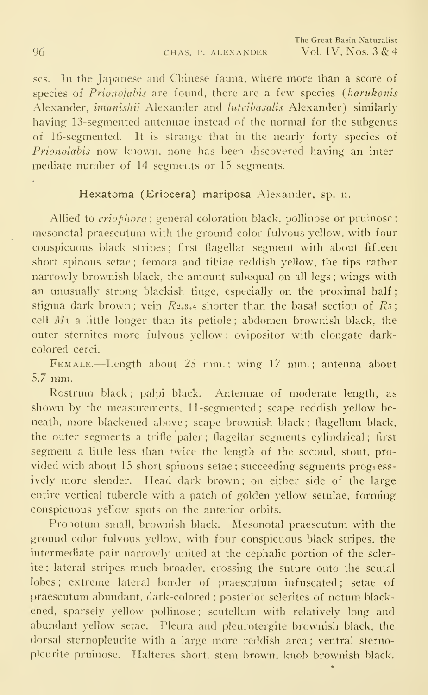ses. In the Japanese and Chinese fauna, where more than a score of species of *Prionolabis* are found, there are a few species (harukonis Alexander, imanisliii Alexander and luteibasalis Alexander) similarly having 13-segmented antennae instead of the normal for the subgenus of 16-segmented. It is strange that in the nearly forty species of Prionolabis now known, none has been discovered having an inter mediate number of 14 segments or 15 segments.

#### Hexatoma (Eriocera) mariposa Alexander, sp. n.

Allied to *eriophora* ; general coloration black, pollinose or pruinose; mesonotal praescutum with the ground color fulvous yellow, with four conspicuous black stripes: first flagellar segment with about fifteen short spinous setae ; femora and tibiae reddish yellow, the tips rather narrowly brownish black, the amount subequal on all legs ; wings with an unusually strong blackish tinge, especially on the proximal half; stigma dark brown; vein  $R_{2+3+4}$  shorter than the basal section of  $R_5$ ; cell  $M_1$  a little longer than its petiole; abdomen brownish black, the outer sternites more fulvous yellow ; ovipositor with elongate darkcolored cerci.

Female.—Length about <sup>25</sup> mm.; wing <sup>17</sup> mm.; antenna about 5.7 mm.

Rostrum black; palpi black. Antennae of moderate length, as shown by the measurements, 11-segmented ; scape reddish yellow be neath, more blackened above; scape brownish black; flagellum black, the outer segments a trifle paler ; flagellar segments cylindrical ; first segment a little less than twice the length of the second, stout, pro vided with about 15 short spinous setae; succeeding segments progiessively more slender. Head dark brown; on either side of the large entire vertical tubercle with a patch of golden yellow' setulae, forming conspicuous yellow spots on the anterior orbits.

Pronotum small, brownish black. Mesonotal praescutum with the ground color fulvous yellow, with four conspicuous black stripes, the intermediate pair narrowly united at the cephalic portion of the sclerite ; lateral stripes much broader, crossing the suture onto the scutal lobes; extreme lateral border of praescutum infuscated; setae of praescutum abundant, dark-colored ; posterior sclerites of notum blackened, sparsely yellow pollinose; scutellum with relatively long and abundant yellow setae. Pleura and pleurotergite brownish black, the dorsal sternopleurite with a large more reddish area ; ventral sternopleurite pruinose. Halteres short, stem brown, knob brownish black.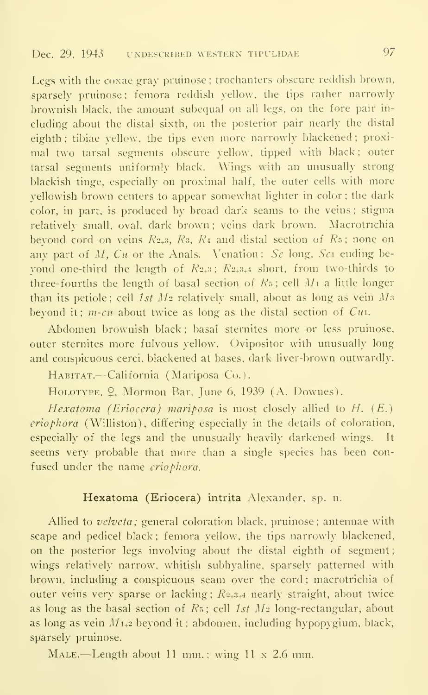Legs with the coxae gray pruinose ; trochanters obscure reddish brown, sparsely pruinose: femora reddish yellow, the tips rather narrowly brownish black, the amount subequal on all legs, on the fore pair in cluding about the distal sixth, on the posterior pair nearly the distal eighth; tibiae yellow, the tips even more narrowly blackened; proximal two tarsal segments obscure yellow, tipped with black; outer tarsal segments uniformly black. Wings with an unusually strong blackish tinge, especially on proximal half, the outer cells with more yellowish brown centers to appear somewhat lighter in color ; the dark color, in part, is produced by broad dark seams to the veins ; stigma relatively small, oval, dark brown ; veins dark brown. Macrotnchia beyond cord on veins  $R_{2+3}$ ,  $R_3$ ,  $R_4$  and distal section of  $R_5$ ; none on any part of M,  $Cu$  or the Anals. Venation:  $Sc$  long,  $Sc_1$  ending bevond one-third the length of  $R_{2+3}$ ;  $R_{2+3+4}$  short, from two-thirds to three-fourths the length of basal section of  $R_5$ ; cell  $M_1$  a little longer than its petiole; cell  $1st$   $M_2$  relatively small, about as long as vein  $M_3$ beyond it;  $m$ -cu about twice as long as the distal section of  $Cu$ .

Abdomen brownish black ; basal sternites more or less pruinose, outer sternites more fulvous yellow. Ovipositor with unusually long and conspicuous cerci, blackened at bases, dark liver-brown outwardly.

HABITAT.—California (Mariposa Co.).

HOLOTYPE,  $\Omega$ , Mormon Bar, June 6, 1939 (A. Downes).

Hexatoma (Eriocera) mariposa is most closely allied to H. (E.) eriophora (Williston), differing especially in the details of coloration, especially of the legs and the unusually heavily darkened wings. It seems very probable that more than a single species has been con fused under the name eriophora.

#### Hexatoma (Eriocera) intrita Alexander, sp. n.

Allied to velveta; general coloration black, pruinose; antennae with scape and pedicel black; femora vellow, the tips narrowly blackened, on the posterior legs involving about the distal eighth of segment wings relatively narrow, whitish subhyaline. sparsely patterned with brown, including a conspicuous seam over the cord ; macrotrichia of outer veins very sparse or lacking;  $R_{2+3+4}$  nearly straight, about twice as long as the basal section of  $R_5$ ; cell 1st  $M_2$  long-rectangular, about as long as vein  $M_{1+2}$  beyond it ; abdomen, including hypopygium, black, sparsely pruinose.

MALE.—Length about 11 mm.; wing 11 x 2.6 mm.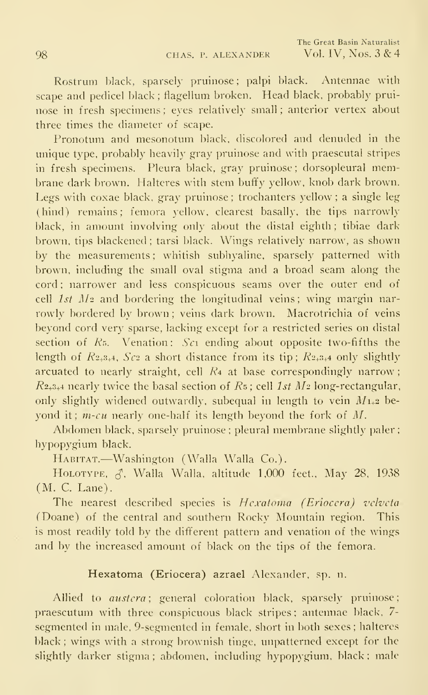Rostrum black, sparsely pruinose; palpi black. Antennae with scape and pedicel black ; flagellum broken. Head black, probably prui nose in fresh specimens ; eyes relatively small ; anterior vertex about three times the diameter of scape.

Pronotum and mesonotum black, discolored and denuded in the unique type, probably heavily gray pruinose and with praescutal stripes in fresh specimens. Pleura black, gray pruinose ; dorsopleural membrane dark brown. Halteres with stem buffy yellow, knob dark brown. Legs with coxae black, gray pruinose ; trochanters yellow ; a single leg (hind) remains; femora yellow, clearest basally, the tips narrowly black, in amount involving only about the distal eighth ; tibiae dark brown, tips blackened ; tarsi black. Wings relatively narrow, as shown by the measurements ; whitish subhyaline, sparsely patterned with brown, including the small oval stigma and a broad seam along the cord ; narrower and less conspicuous seams over the outer end of cell  $1st$   $M_2$  and bordering the longitudinal veins; wing margin narrowly bordered by brown: veins dark brown. Macrotrichia of veins beyond cord very sparse, lacking except for a restricted series on distal section of  $R_5$ . Venation:  $Sc<sub>1</sub>$  ending about opposite two-fifths the length of  $R_{2+3+4}$ ,  $Sc_2$  a short distance from its tip;  $R_{2+3+4}$  only slightly arcuated to nearly straight, cell  $R_4$  at base correspondingly narrow;  $R_{2+3+4}$  nearly twice the basal section of  $Rs$ ; cell 1st  $M_2$  long-rectangular, only slightly widened outwardly, subequal in length to vein  $M_{1+2}$  beyond it;  $m$ -cu nearly one-half its length beyond the fork of  $M$ .

Abdomen black, sparsely pruinose ; pleural membrane slightly paler ; hypopygium black.

HABITAT.—Washington (Walla Walla Co.).

HOLOTYPE,  $\zeta$ , Walla Walla, altitude 1,000 feet., May 28, 1938 (M. C. Lane).

The nearest described species is Hexatoma (Eriocera) velveta (Doane) of the central and southern Rocky Mountain region. This is most readily told by the dififerent pattern and venation of the wings and by the increased amount of black on the tips of the femora.

#### Hexatoma (Eriocera) azrael Alexander, sp. n.

Allied to *austera*; general coloration black, sparsely pruinose; praescutum with three conspicuous black stripes ; antennae black, 7 segmented in male, 9-segmented in female, short in both sexes; halteres black; wings with a strong brownish tinge, unpatterned except for the slightly darker stigma; abdomen, including hypopygium, black; male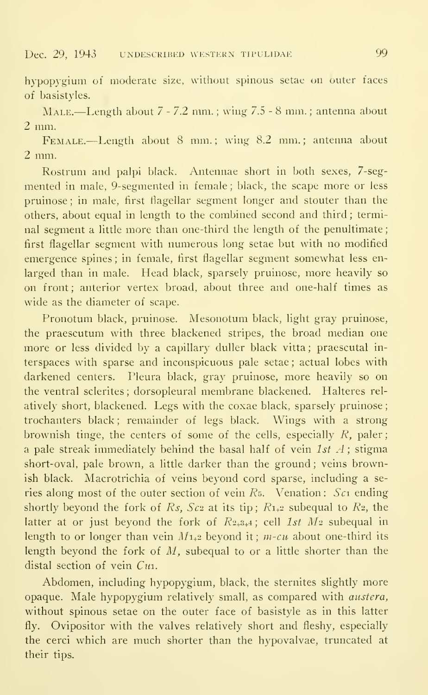#### Dec. 29, 1943 undescribed western tipulidae 99

hypopygium of moderate size, without spinous setae on outer faces of basistyles.

Male.—Length about <sup>7</sup> - 7.2 mm. ; wing 7.5 - <sup>8</sup> mm. ; antenna about 2 mm.

FEMALE.—Length about 8 mm.; wing 8.2 mm.; antenna about 2 mm.

Rostrum and palpi black. Antennae short in both sexes, 7-segmented in male, 9-segmented in female ; black, the scape more or less pruinose ; in male, first flagellar segment longer and stouter than the others, about equal in length to the combined second and third ; terminal segment a little more than one-third the length of the penultimate first flagellar segment with numerous long setae but with no modified emergence spines ; in female, first flagellar segment somewhat less en larged than in male. Head black, sparsely pruinose, more heavily so on front; anterior vertex broad, about three and one-half times as wide as the diameter of scape.

Pronotum black, pruinose. Mesonotum black, light gray pruinose, the praescutum with three blackened stripes, the broad median one more or less divided by a capillary duller black vitta ; praescutal in terspaces with sparse and inconspicuous pale setae ; actual lobes with darkened centers. Pleura black, gray pruinose, more heavily so on the ventral sclerites ; dorsopleural membrane blackened. Halteres rel atively short, blackened. Legs with the coxae black, sparsely pruinose trochanters black; remainder of legs black. Wings with a strong brownish tinge, the centers of some of the cells, especially  $R$ , paler; a pale streak immediately behind the basal half of vein  $1st$  A; stigma short-oval, pale brown, a little darker than the ground ; veins brownish black. Macrotrichia of veins beyond cord sparse, including a se ries along most of the outer section of vein  $R<sub>5</sub>$ . Venation: Sci ending shortly beyond the fork of Rs, Sc<sub>2</sub> at its tip;  $R_{1+2}$  subequal to R<sub>2</sub>, the latter at or just beyond the fork of  $R_{2+3+4}$ ; cell 1st  $M_2$  subequal in length to or longer than vein  $M_{1+2}$  beyond it;  $m$ -cu about one-third its length beyond the fork of  $M$ , subequal to or a little shorter than the distal section of vein  $Cu$ .

Abdomen, including hypopygium, black, the sternites slightly more opaque. Male hypopygium relatively small, as compared with austera, without spinous setae on the outer face of basistyle as in this latter fly. Ovipositor with the valves relatively short and fleshy, especially the cerci which are much shorter than the hypovalvae, truncated at their tips.